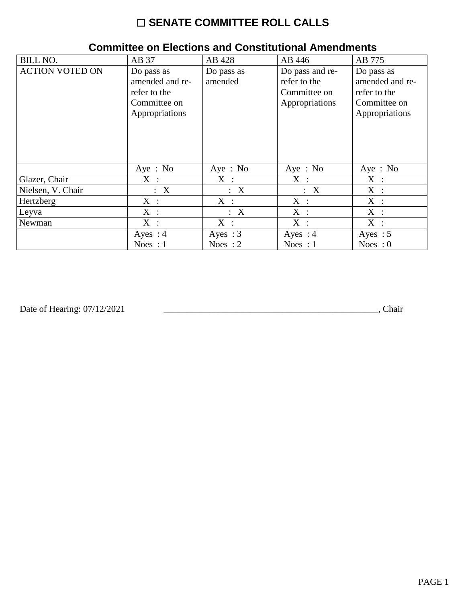## ☐ **SENATE COMMITTEE ROLL CALLS**

| <b>BILL NO.</b>        | AB 37           | AB 428     | AB 446          | AB 775          |
|------------------------|-----------------|------------|-----------------|-----------------|
| <b>ACTION VOTED ON</b> | Do pass as      | Do pass as | Do pass and re- | Do pass as      |
|                        | amended and re- | amended    | refer to the    | amended and re- |
|                        | refer to the    |            | Committee on    | refer to the    |
|                        | Committee on    |            | Appropriations  | Committee on    |
|                        | Appropriations  |            |                 | Appropriations  |
|                        |                 |            |                 |                 |
|                        |                 |            |                 |                 |
|                        |                 |            |                 |                 |
|                        |                 |            |                 |                 |
|                        | Aye: No         | Aye : $No$ | Aye : $No$      | Aye: No         |
| Glazer, Chair          | $X$ :           | $X$ :      | $X$ :           | X :             |
| Nielsen, V. Chair      | : X             | : X        | : X             | X :             |
| Hertzberg              | $X$ :           | $X$ :      | $X$ :           | $X$ :           |
| Leyva                  | X :             | : X        | $X$ :           | X :             |
| Newman                 | X :             | $X$ :      | $X$ :           | $X$ :           |
|                        | Ayes : $4$      | Ayes : $3$ | Ayes : $4$      | Ayes : $5$      |
|                        | Noes : $1$      | Noes : $2$ | Noes : $1$      | Noes : $0$      |

## **Committee on Elections and Constitutional Amendments**

Date of Hearing: 07/12/2021

Date of Hearing: 07/12/2021 \_\_\_\_\_\_\_\_\_\_\_\_\_\_\_\_\_\_\_\_\_\_\_\_\_\_\_\_\_\_\_\_\_\_\_\_\_\_\_\_\_\_\_\_\_\_\_, Chair